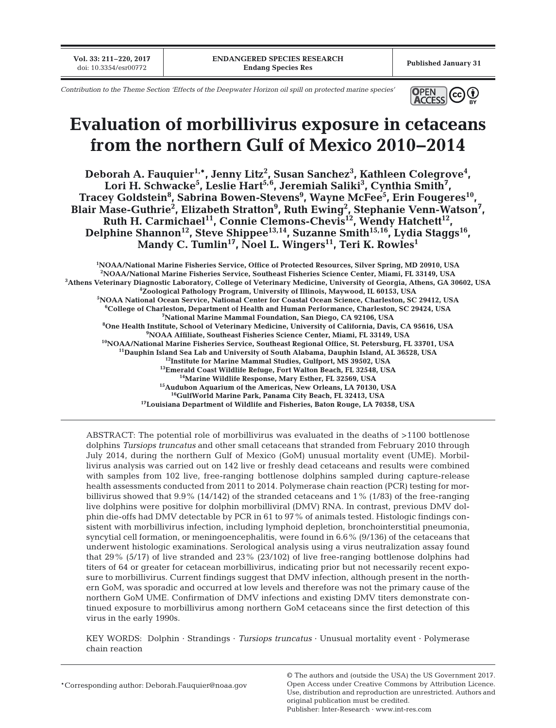**Vol. 33: 211–220, 2017**

*Contribution to the Theme Section 'Effects of the Deepwater Horizon oil spill on protected marine species'*



# **Evaluation of morbillivirus exposure in cetaceans from the northern Gulf of Mexico 2010−2014**

**Deborah A. Fauquier1,\*, Jenny Litz2 , Susan Sanchez3 , Kathleen Colegrove4 ,**  Lori H. Schwacke<sup>5</sup>, Leslie Hart<sup>5,6</sup>, Jeremiah Saliki<sup>3</sup>, Cynthia Smith<sup>7</sup>,  $\bf{Tracey~Goldstein^8, Sabrina~Bowen-Stevens^9, Wayne McFee^5, Erin Fougeres^{10},$ Blair Mase-Guthrie<sup>2</sup>, Elizabeth Stratton<sup>9</sup>, Ruth Ewing<sup>2</sup>, Stephanie Venn-Watson<sup>7</sup>, **Ruth H. Carmichael11, Connie Clemons-Chevis12, Wendy Hatchett12, Delphine Shannon12, Steve Shippee13,14, Suzanne Smith15,16, Lydia Staggs16,**  Mandy C. Tumlin<sup>17</sup>, Noel L. Wingers<sup>11</sup>, Teri K. Rowles<sup>1</sup>

**1 NOAA/National Marine Fisheries Service, Office of Protected Resources, Silver Spring, MD 20910, USA 2 NOAA/National Marine Fisheries Service, Southeast Fisheries Science Center, Miami, FL 33149, USA 3 Athens Veterinary Diagnostic Laboratory, College of Veterinary Medicine, University of Georgia, Athens, GA 30602, USA 4 Zoological Pathology Program, University of Illinois, Maywood, IL 60153, USA 5 NOAA National Ocean Service, National Center for Coastal Ocean Science, Charleston, SC 29412, USA 6 College of Charleston, Department of Health and Human Performance, Charleston, SC 29424, USA 7 National Marine Mammal Foundation, San Diego, CA 92106, USA 8 One Health Institute, School of Veterinary Medicine, University of California, Davis, CA 95616, USA 9 NOAA Affiliate, Southeast Fisheries Science Center, Miami, FL 33149, USA** <sup>10</sup>NOAA/National Marine Fisheries Service, Southeast Regional Office, St. Petersburg, FL 33701, USA **11Dauphin Island Sea Lab and University of South Alabama, Dauphin Island, AL 36528, USA 12Institute for Marine Mammal Studies, Gulfport, MS 39502, USA 13Emerald Coast Wildlife Refuge, Fort Walton Beach, FL 32548, USA 14Marine Wildlife Response, Mary Esther, FL 32569, USA 15Audubon Aquarium of the Americas, New Orleans, LA 70130, USA 16GulfWorld Marine Park, Panama City Beach, FL 32413, USA 17Louisiana Department of Wildlife and Fisheries, Baton Rouge, LA 70358, USA**

ABSTRACT: The potential role of morbillivirus was evaluated in the deaths of >1100 bottlenose dolphins *Tursiops truncatus* and other small cetaceans that stranded from February 2010 through July 2014, during the northern Gulf of Mexico (GoM) unusual mortality event (UME). Morbillivirus analysis was carried out on 142 live or freshly dead cetaceans and results were combined with samples from 102 live, free-ranging bottlenose dolphins sampled during capture-release health assessments conducted from 2011 to 2014. Polymerase chain reaction (PCR) testing for morbillivirus showed that 9.9% (14/142) of the stranded cetaceans and 1% (1/83) of the free-ranging live dolphins were positive for dolphin morbilliviral (DMV) RNA. In contrast, previous DMV dolphin die-offs had DMV detectable by PCR in 61 to 97% of animals tested. Histologic findings consistent with morbillivirus infection, including lymphoid depletion, bronchointerstitial pneumonia, syncytial cell formation, or meningoencephalitis, were found in 6.6% (9/136) of the cetaceans that underwent histologic examinations. Serological analysis using a virus neutralization assay found that 29% (5/17) of live stranded and 23% (23/102) of live free-ranging bottlenose dolphins had titers of 64 or greater for cetacean morbillivirus, indicating prior but not necessarily recent exposure to morbillivirus. Current findings suggest that DMV infection, although present in the northern GoM, was sporadic and occurred at low levels and therefore was not the primary cause of the northern GoM UME. Confirmation of DMV infections and existing DMV titers demonstrate continued exposure to morbillivirus among northern GoM cetaceans since the first detection of this virus in the early 1990s.

KEY WORDS: Dolphin · Strandings · *Tursiops truncatus* · Unusual mortality event · Polymerase chain reaction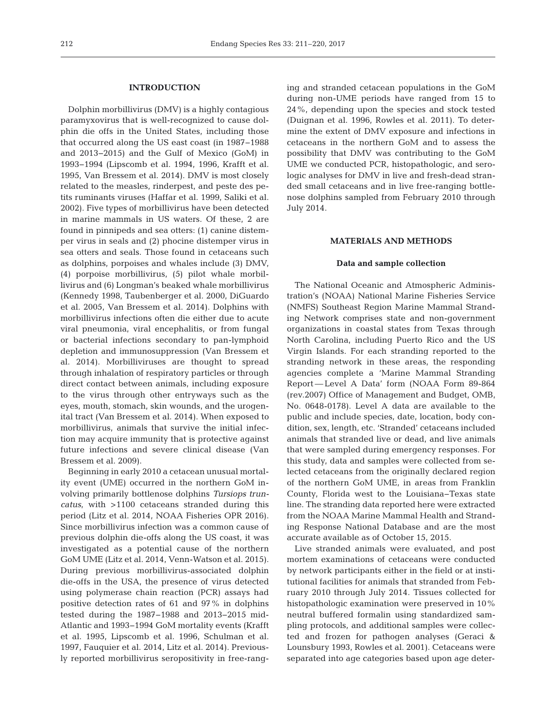# **INTRODUCTION**

Dolphin morbillivirus (DMV) is a highly contagious paramyxovirus that is well-recognized to cause dolphin die offs in the United States, including those that occurred along the US east coast (in 1987−1988 and 2013−2015) and the Gulf of Mexico (GoM) in 1993−1994 (Lipscomb et al. 1994, 1996, Krafft et al. 1995, Van Bressem et al. 2014). DMV is most closely related to the measles, rinderpest, and peste des pe tits ruminants viruses (Haffar et al. 1999, Saliki et al. 2002). Five types of morbillivirus have been detected in marine mammals in US waters. Of these, 2 are found in pinnipeds and sea otters: (1) canine distemper virus in seals and (2) phocine distemper virus in sea otters and seals. Those found in cetaceans such as dolphins, porpoises and whales include (3) DMV, (4) porpoise morbillivirus, (5) pilot whale morbillivirus and (6) Longman's beaked whale morbillivirus (Kennedy 1998, Taubenberger et al. 2000, DiGuardo et al. 2005, Van Bressem et al. 2014). Dolphins with morbillivirus infections often die either due to acute viral pneumonia, viral encephalitis, or from fungal or bacterial infections secondary to pan-lymphoid depletion and immunosuppression (Van Bressem et al. 2014). Morbilliviruses are thought to spread through inhalation of respiratory particles or through direct contact between animals, including exposure to the virus through other entryways such as the eyes, mouth, stomach, skin wounds, and the urogenital tract (Van Bressem et al. 2014). When exposed to morbillivirus, animals that survive the initial infection may acquire immunity that is protective against future infections and severe clinical disease (Van Bressem et al. 2009).

Beginning in early 2010 a cetacean unusual mortality event (UME) occurred in the northern GoM involving primarily bottlenose dolphins *Tursiops truncatus*, with >1100 cetaceans stranded during this period (Litz et al. 2014, NOAA Fisheries OPR 2016). Since morbillivirus infection was a common cause of previous dolphin die-offs along the US coast, it was investigated as a potential cause of the northern GoM UME (Litz et al. 2014, Venn-Watson et al. 2015). During previous morbillivirus-associated dolphin die-offs in the USA, the presence of virus detected using polymerase chain reaction (PCR) assays had positive detection rates of 61 and 97% in dolphins tested during the 1987−1988 and 2013−2015 mid-Atlantic and 1993−1994 GoM mortality events (Krafft et al. 1995, Lipscomb et al. 1996, Schulman et al. 1997, Fauquier et al. 2014, Litz et al. 2014). Previous ly reported morbillivirus seropositivity in free-rang-

ing and stranded cetacean populations in the GoM during non-UME periods have ranged from 15 to 24%, depending upon the species and stock tested (Duignan et al. 1996, Rowles et al. 2011). To determine the extent of DMV exposure and infections in cetaceans in the northern GoM and to assess the possibility that DMV was contributing to the GoM UME we conducted PCR, histopathologic, and serologic analyses for DMV in live and fresh-dead stranded small cetaceans and in live free-ranging bottlenose dolphins sampled from February 2010 through July 2014.

## **MATERIALS AND METHODS**

## **Data and sample collection**

The National Oceanic and Atmospheric Administration's (NOAA) National Marine Fisheries Service (NMFS) Southeast Region Marine Mammal Stranding Network comprises state and non-government organizations in coastal states from Texas through North Carolina, including Puerto Rico and the US Virgin Islands. For each stranding reported to the stranding network in these areas, the responding agencies complete a 'Marine Mammal Stranding Report — Level A Data' form (NOAA Form 89-864 (rev.2007) Office of Management and Budget, OMB, No. 0648-0178). Level A data are available to the public and include species, date, location, body condition, sex, length, etc. 'Stranded' cetaceans included animals that stranded live or dead, and live animals that were sampled during emergency responses. For this study, data and samples were collected from se lected cetaceans from the originally declared region of the northern GoM UME, in areas from Franklin County, Florida west to the Louisiana− Texas state line. The stranding data reported here were extracted from the NOAA Marine Mammal Health and Stranding Response National Database and are the most accurate available as of October 15, 2015.

Live stranded animals were evaluated, and post mortem examinations of cetaceans were conducted by network participants either in the field or at institutional facilities for animals that stranded from February 2010 through July 2014. Tissues collected for histopathologic examination were preserved in 10% neutral buffered formalin using standardized sampling protocols, and additional samples were collected and frozen for pathogen analyses (Geraci & Lounsbury 1993, Rowles et al. 2001). Cetaceans were separated into age categories based upon age deter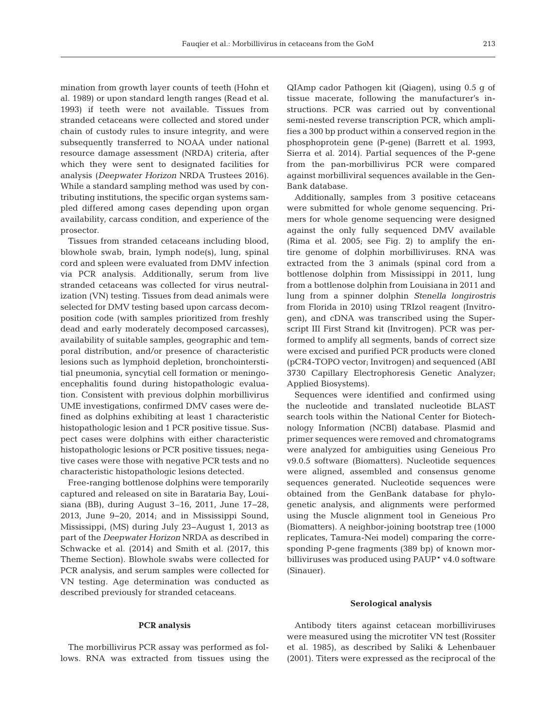mination from growth layer counts of teeth (Hohn et al. 1989) or upon standard length ranges (Read et al. 1993) if teeth were not available. Tissues from stranded cetaceans were collected and stored under chain of custody rules to insure integrity, and were subsequently transferred to NOAA under national resource damage assessment (NRDA) criteria, after which they were sent to designated facilities for analysis (*Deepwater Horizon* NRDA Trustees 2016). While a standard sampling method was used by contributing institutions, the specific organ systems sampled differed among cases depending upon organ availability, carcass condition, and experience of the prosector.

Tissues from stranded cetaceans including blood, blowhole swab, brain, lymph node(s), lung, spinal cord and spleen were evaluated from DMV infection via PCR analysis. Additionally, serum from live stranded cetaceans was collected for virus neutralization (VN) testing. Tissues from dead animals were selected for DMV testing based upon carcass decomposition code (with samples prioritized from freshly dead and early moderately decomposed carcasses), availability of suitable samples, geographic and temporal distribution, and/or presence of characteristic lesions such as lymphoid depletion, bronchointerstitial pneumonia, syncytial cell formation or meningoencephalitis found during histopathologic evaluation. Consistent with previous dolphin morbillivirus UME investigations, confirmed DMV cases were de fined as dolphins exhibiting at least 1 characteristic histopathologic lesion and 1 PCR positive tissue. Suspect cases were dolphins with either characteristic histopathologic lesions or PCR positive tissues; negative cases were those with negative PCR tests and no characteristic histopathologic lesions de tected.

Free-ranging bottlenose dolphins were temporarily captured and released on site in Barataria Bay, Loui siana (BB), during August 3–16, 2011, June 17−28, 2013, June 9−20, 2014; and in Mississippi Sound, Mississippi, (MS) during July 23−August 1, 2013 as part of the *Deepwater Horizon* NRDA as described in Schwacke et al. (2014) and Smith et al. (2017, this Theme Section). Blowhole swabs were collected for PCR analysis, and serum samples were collected for VN testing. Age determination was conducted as described previously for stranded cetaceans.

#### **PCR analysis**

The morbillivirus PCR assay was performed as follows. RNA was extracted from tissues using the QIAmp cador Pathogen kit (Qiagen), using 0.5 g of tissue macerate, following the manufacturer's in structions. PCR was carried out by conventional semi-nested reverse transcription PCR, which amplifies a 300 bp product within a conserved region in the phosphoprotein gene (P-gene) (Barrett et al. 1993, Sierra et al. 2014). Partial sequences of the P-gene from the pan-morbillivirus PCR were compared against morbilliviral sequences available in the Gen-Bank database.

Additionally, samples from 3 positive cetaceans were submitted for whole genome sequencing. Primers for whole genome sequencing were designed against the only fully sequenced DMV available (Rima et al.  $2005$ ; see Fig. 2) to amplify the entire genome of dolphin morbilliviruses. RNA was extracted from the 3 animals (spinal cord from a bottlenose dolphin from Mississippi in 2011, lung from a bottlenose dolphin from Louisiana in 2011 and lung from a spinner dolphin *Stenella longirostris* from Florida in 2010) using TRIzol reagent (Invitrogen), and cDNA was transcribed using the Superscript III First Strand kit (Invitrogen). PCR was performed to amplify all segments, bands of correct size were excised and purified PCR products were cloned (pCR4-TOPO vector; Invitrogen) and sequenced (ABI 3730 Capillary Electrophoresis Genetic Analyzer; Applied Biosystems).

Sequences were identified and confirmed using the nucleotide and translated nucleotide BLAST search tools within the National Center for Biotechnology Information (NCBI) database. Plasmid and primer sequences were removed and chromatograms were analyzed for ambiguities using Geneious Pro v9.0.5 software (Biomatters). Nucleotide sequences were aligned, assembled and consensus genome sequences generated. Nucleotide sequences were obtained from the GenBank database for phylogenetic analysis, and alignments were performed using the Muscle alignment tool in Geneious Pro (Biomatters). A neighbor-joining bootstrap tree (1000 replicates, Tamura-Nei model) comparing the corresponding P-gene fragments (389 bp) of known morbilliviruses was produced using PAUP\* v4.0 software (Sinauer).

#### **Serological analysis**

Antibody titers against cetacean morbilliviruses were measured using the microtiter VN test (Rossiter et al. 1985), as described by Saliki & Lehenbauer (2001). Titers were expressed as the reciprocal of the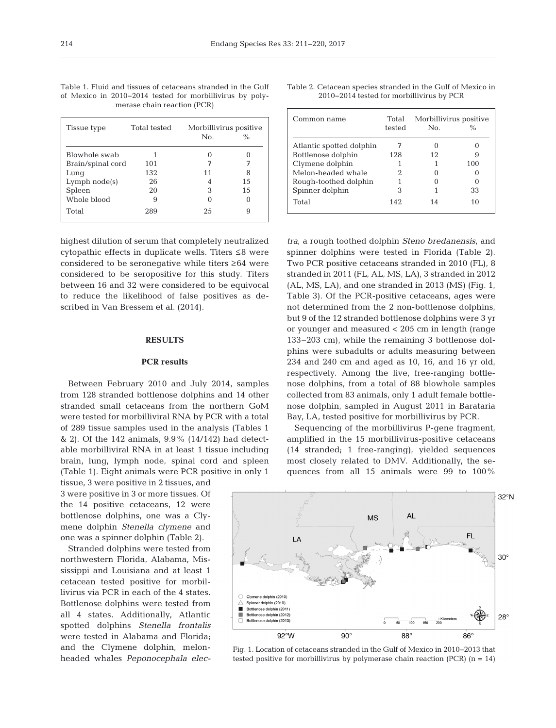|                             | Table 1. Fluid and tissues of cetaceans stranded in the Gulf |  |  |  |  |  |  |  |  |
|-----------------------------|--------------------------------------------------------------|--|--|--|--|--|--|--|--|
|                             | of Mexico in 2010–2014 tested for morbillivirus by poly-     |  |  |  |  |  |  |  |  |
| merase chain reaction (PCR) |                                                              |  |  |  |  |  |  |  |  |

| Tissue type       | Total tested | Morbillivirus positive |               |  |  |
|-------------------|--------------|------------------------|---------------|--|--|
|                   |              | No.                    | $\frac{0}{0}$ |  |  |
| Blowhole swab     |              |                        |               |  |  |
| Brain/spinal cord | 101          |                        |               |  |  |
| Lung              | 132          | 11                     |               |  |  |
| $Lymph$ $node(s)$ | 26           |                        | 15            |  |  |
| Spleen            | 20           | З                      | 15            |  |  |
| Whole blood       | 9            |                        |               |  |  |
| Total             | 289          | 25                     |               |  |  |

highest dilution of serum that completely neutralized cytopathic effects in duplicate wells. Titers ≤8 were considered to be seronegative while titers ≥64 were considered to be seropositive for this study. Titers between 16 and 32 were considered to be equivocal to reduce the likelihood of false positives as de scribed in Van Bressem et al. (2014).

#### **RESULTS**

# **PCR results**

Between February 2010 and July 2014, samples from 128 stranded bottlenose dolphins and 14 other stranded small cetaceans from the northern GoM were tested for morbilliviral RNA by PCR with a total of 289 tissue samples used in the analysis (Tables 1  $\&$  2). Of the 142 animals, 9.9% (14/142) had detectable morbilliviral RNA in at least 1 tissue including brain, lung, lymph node, spinal cord and spleen (Table 1). Eight animals were PCR positive in only 1

tissue, 3 were positive in 2 tissues, and 3 were positive in 3 or more tissues. Of the 14 positive cetaceans, 12 were bottlenose dolphins, one was a Clymene dolphin *Stenella clymene* and one was a spinner dolphin (Table 2).

Stranded dolphins were tested from northwestern Florida, Alabama, Mississippi and Louisiana and at least 1 cetacean tested positive for morbillivirus via PCR in each of the 4 states. Bottlenose dolphins were tested from all 4 states. Additionally, Atlantic spotted dolphins *Stenella frontalis* were tested in Alabama and Florida; and the Clymene dolphin, melonheaded whales *Peponocephala elec-*

| Table 2. Cetacean species stranded in the Gulf of Mexico in |                                           |  |  |
|-------------------------------------------------------------|-------------------------------------------|--|--|
|                                                             | 2010–2014 tested for morbillivirus by PCR |  |  |

| Common name              | Total<br>tested | Morbillivirus positive<br>N <sub>0</sub> |     |
|--------------------------|-----------------|------------------------------------------|-----|
| Atlantic spotted dolphin |                 |                                          |     |
| Bottlenose dolphin       | 128             | 12                                       | ч   |
| Clymene dolphin          |                 |                                          | 100 |
| Melon-headed whale       |                 |                                          |     |
| Rough-toothed dolphin    |                 |                                          |     |
| Spinner dolphin          | 3               |                                          | 33  |
| Total                    | 142             | 14                                       | 10  |

*tra*, a rough toothed dolphin *Steno bredanensis*, and spinner dolphins were tested in Florida (Table 2). Two PCR positive cetaceans stranded in 2010 (FL), 8 stranded in 2011 (FL, AL, MS, LA), 3 stranded in 2012 (AL, MS, LA), and one stranded in 2013 (MS) (Fig. 1, Table 3). Of the PCR-positive cetaceans, ages were not determined from the 2 non-bottlenose dolphins, but 9 of the 12 stranded bottlenose dolphins were 3 yr or younger and measured < 205 cm in length (range 133–203 cm), while the remaining 3 bottlenose dolphins were subadults or adults measuring between 234 and 240 cm and aged as 10, 16, and 16 yr old, respectively. Among the live, free-ranging bottlenose dolphins, from a total of 88 blowhole samples collected from 83 animals, only 1 adult female bottlenose dolphin, sampled in August 2011 in Barataria Bay, LA, tested positive for morbillivirus by PCR.

Sequencing of the morbillivirus P-gene fragment, amplified in the 15 morbillivirus-positive cetaceans (14 stranded; 1 free-ranging), yielded sequences most closely related to DMV. Additionally, the sequences from all 15 animals were 99 to 100%



Fig. 1. Location of cetaceans stranded in the Gulf of Mexico in 2010−2013 that tested positive for morbillivirus by polymerase chain reaction (PCR)  $(n = 14)$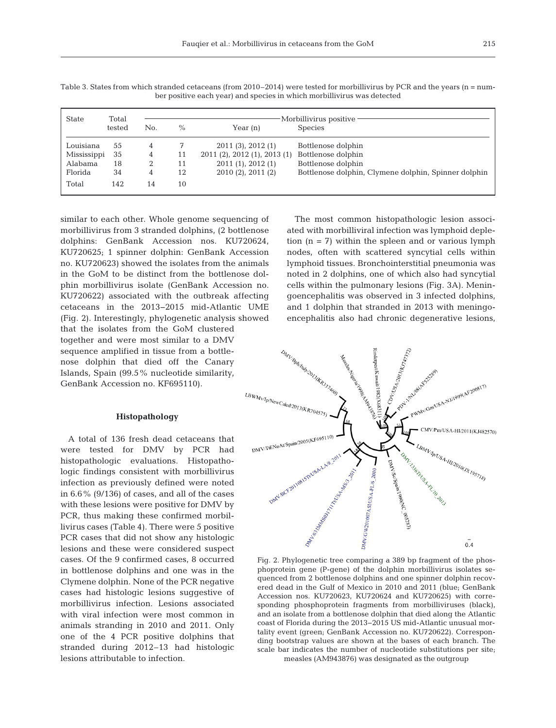| State       | Total  | Morbillivirus positive |      |                              |                                                      |  |  |
|-------------|--------|------------------------|------|------------------------------|------------------------------------------------------|--|--|
|             | tested | No.                    | $\%$ | Year $(n)$                   | <b>Species</b>                                       |  |  |
| Louisiana   | 55     |                        |      | 2011(3), 2012(1)             | Bottlenose dolphin                                   |  |  |
| Mississippi | 35     | 4                      | 11   | 2011 (2), 2012 (1), 2013 (1) | Bottlenose dolphin                                   |  |  |
| Alabama     | 18     |                        | 11   | 2011(1), 2012(1)             | Bottlenose dolphin                                   |  |  |
| Florida     | 34     | 4                      | 12   | $2010(2)$ , $2011(2)$        | Bottlenose dolphin, Clymene dolphin, Spinner dolphin |  |  |
| Total       | 142    | 14                     | 10   |                              |                                                      |  |  |

Table 3. States from which stranded cetaceans (from 2010–2014) were tested for morbillivirus by PCR and the years (n = number positive each year) and species in which morbillivirus was detected

similar to each other. Whole genome sequencing of morbillivirus from 3 stranded dolphins, (2 bottlenose dolphins: GenBank Accession nos. KU720624, KU720625; 1 spinner dolphin: GenBank Accession no. KU720623) showed the isolates from the animals in the GoM to be distinct from the bottlenose dolphin morbillivirus isolate (GenBank Accession no. KU720622) associated with the outbreak affecting cetaceans in the 2013−2015 mid-Atlantic UME (Fig. 2). Interestingly, phylogenetic analysis showed that the isolates from the GoM clustered together and were most similar to a DMV sequence amplified in tissue from a bottlenose dolphin that died off the Canary Islands, Spain (99.5% nucleotide similarity, GenBank Accession no. KF695110).

# **Histopathology**

A total of 136 fresh dead cetaceans that were tested for DMV by PCR had histopathologic evaluations. Histopathologic findings consistent with morbillivirus infection as previously defined were noted in 6.6% (9/136) of cases, and all of the cases with these lesions were positive for DMV by PCR, thus making these confirmed morbillivirus cases (Table 4). There were 5 positive PCR cases that did not show any histologic lesions and these were considered suspect cases. Of the 9 confirmed cases, 8 occurred in bottlenose dolphins and one was in the Clymene dolphin. None of the PCR negative cases had histologic lesions suggestive of morbillivirus infection. Lesions associated with viral infection were most common in animals stranding in 2010 and 2011. Only one of the 4 PCR positive dolphins that stranded during 2012–13 had histologic lesions attributable to infection.

The most common histopathologic lesion associated with morbilliviral infection was lymphoid depletion  $(n = 7)$  within the spleen and or various lymph nodes, often with scattered syncytial cells within lymphoid tissues. Bronchointerstitial pneumonia was noted in 2 dolphins, one of which also had syncytial cells within the pulmonary lesions (Fig. 3A). Meningoencephalitis was observed in 3 infected dolphins, and 1 dolphin that stranded in 2013 with meningoencephalitis also had chronic degenerative lesions,



Fig. 2. Phylogenetic tree comparing a 389 bp fragment of the phosphoprotein gene (P-gene) of the dolphin morbillivirus isolates sequenced from 2 bottlenose dolphins and one spinner dolphin recovered dead in the Gulf of Mexico in 2010 and 2011 (blue; GenBank Accession nos. KU720623, KU720624 and KU720625) with corresponding phosphoprotein fragments from morbilliviruses (black), and an isolate from a bottlenose dolphin that died along the Atlantic coast of Florida during the 2013−2015 US mid-Atlantic unusual mortality event (green; GenBank Accession no. KU720622). Corresponding bootstrap values are shown at the bases of each branch. The scale bar indicates the number of nucleotide substitutions per site; measles (AM943876) was designated as the outgroup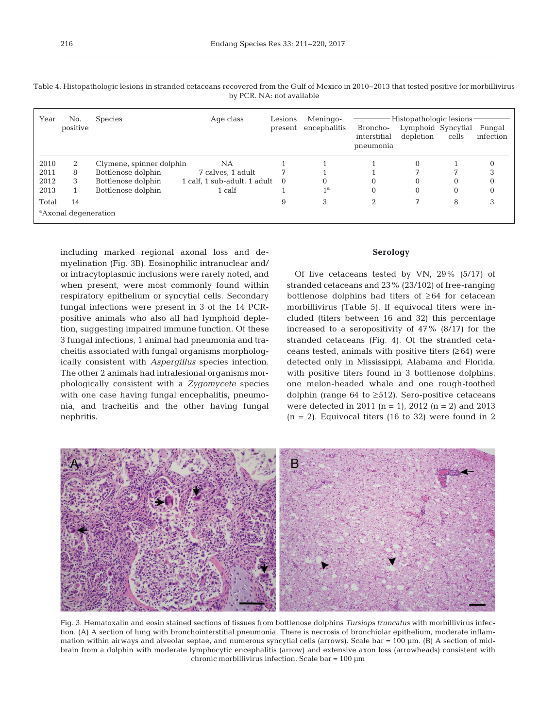| Year                             | No.<br>positive | <b>Species</b>           | Age class                              | Lesions<br>present | Meningo-<br>encephalitis | Broncho-<br>interstitial<br>pneumonia | Histopathologic lesions<br>Lymphoid Syncytial<br>depletion | cells        | Fungal<br>infection |
|----------------------------------|-----------------|--------------------------|----------------------------------------|--------------------|--------------------------|---------------------------------------|------------------------------------------------------------|--------------|---------------------|
| 2010                             | 2               | Clymene, spinner dolphin | NA                                     |                    |                          |                                       | 0                                                          |              |                     |
| 2011                             | 8               | Bottlenose dolphin       | 7 calves, 1 adult                      |                    |                          |                                       |                                                            |              |                     |
| 2012                             | 3               | Bottlenose dolphin       | $1$ calf, $1$ sub-adult, $1$ adult $0$ |                    | $\Omega$                 |                                       | $\Omega$                                                   | $\Omega$     |                     |
| 2013                             |                 | Bottlenose dolphin       | 1 calf                                 |                    | 1 <sup>a</sup>           | 0                                     | $\mathbf{0}$                                               | $\mathbf{0}$ | 0                   |
| Total                            | 14              |                          |                                        | 9                  | 3                        | ↑                                     |                                                            | 8            | 3                   |
| <sup>a</sup> Axonal degeneration |                 |                          |                                        |                    |                          |                                       |                                                            |              |                     |

Table 4. Histopathologic lesions in stranded cetaceans recovered from the Gulf of Mexico in 2010−2013 that tested positive for morbillivirus by PCR. NA: not available

including marked regional axonal loss and demyelination (Fig. 3B). Eosinophilic intranuclear and/ or intracytoplasmic inclusions were rarely noted, and when present, were most commonly found within respiratory epithelium or syncytial cells. Secondary fungal infections were present in 3 of the 14 PCRpositive animals who also all had lymphoid depletion, suggesting impaired immune function. Of these 3 fungal infections, 1 animal had pneumonia and tracheitis associated with fungal organisms morphologically consistent with *Aspergillus* species infection. The other 2 animals had intralesional organisms morphologically consistent with a *Zygomycete* species with one case having fungal encephalitis, pneumonia, and tracheitis and the other having fungal nephritis.

## **Serology**

Of live cetaceans tested by VN, 29% (5/17) of stranded cetaceans and 23% (23/102) of free-ranging bottlenose dolphins had titers of ≥64 for cetacean morbillivirus (Table 5). If equivocal titers were in cluded (titers between 16 and 32) this percentage increased to a seropositivity of 47% (8/17) for the stranded cetaceans (Fig. 4). Of the stranded cetaceans tested, animals with positive titers  $(≥64)$  were detected only in Mississippi, Alabama and Florida, with positive titers found in 3 bottlenose dolphins, one melon-headed whale and one rough-toothed dolphin (range 64 to  $\geq$ 512). Sero-positive cetaceans were detected in 2011 (n = 1), 2012 (n = 2) and 2013  $(n = 2)$ . Equivocal titers (16 to 32) were found in 2



Fig. 3. Hematoxalin and eosin stained sections of tissues from bottlenose dolphins *Tursiops truncatus* with morbillivirus infection. (A) A section of lung with bronchointerstitial pneumonia. There is necrosis of bronchiolar epithelium, moderate inflammation within airways and alveolar septae, and numerous syncytial cells (arrows). Scale bar = 100 µm. (B) A section of midbrain from a dolphin with moderate lymphocytic encephalitis (arrow) and extensive axon loss (arrowheads) consistent with chronic morbillivirus infection. Scale bar = 100 µm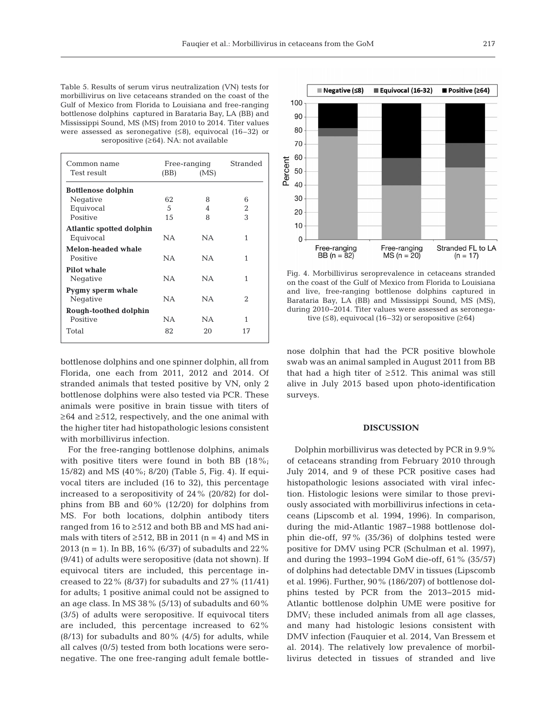Table 5. Results of serum virus neutralization (VN) tests for morbillivirus on live cetaceans stranded on the coast of the Gulf of Mexico from Florida to Louisiana and free-ranging bottlenose dolphins captured in Barataria Bay, LA (BB) and Mississippi Sound, MS (MS) from 2010 to 2014. Titer values were assessed as seronegative (≤8), equivocal (16–32) or seropositive  $(≥64)$ . NA: not available

| Common name<br>Test result | (BB) | Free-ranging<br>(MS) | Stranded |  |
|----------------------------|------|----------------------|----------|--|
| <b>Bottlenose dolphin</b>  |      |                      |          |  |
| Negative                   | 62   | 8                    | 6        |  |
| Equivocal                  | 5    | 4                    | 2        |  |
| Positive                   | 15   | 8                    | 3        |  |
| Atlantic spotted dolphin   |      |                      |          |  |
| Equivocal                  | NA.  | <b>NA</b>            | 1        |  |
| Melon-headed whale         |      |                      |          |  |
| Positive                   | NA.  | NA.                  | 1        |  |
| Pilot whale                |      |                      |          |  |
| Negative                   | NA.  | NA.                  | 1        |  |
| Pygmy sperm whale          |      |                      |          |  |
| Negative                   | NA.  | NA.                  | 2        |  |
| Rough-toothed dolphin      |      |                      |          |  |
| Positive                   | NA.  | <b>NA</b>            | 1        |  |
| Total                      | 82   | 20                   | 17       |  |
|                            |      |                      |          |  |

bottlenose dolphins and one spinner dolphin, all from Florida, one each from 2011, 2012 and 2014. Of stranded animals that tested positive by VN, only 2 bottlenose dolphins were also tested via PCR. These animals were positive in brain tissue with titers of ≥64 and ≥512, respectively, and the one animal with the higher titer had histopathologic lesions consistent with morbillivirus infection.

For the free-ranging bottlenose dolphins, animals with positive titers were found in both BB (18%; 15/82) and MS (40%; 8/20) (Table 5, Fig. 4). If equi vocal titers are included (16 to 32), this percentage increased to a seropositivity of 24% (20/82) for dolphins from BB and 60% (12/20) for dolphins from MS. For both locations, dolphin antibody titers ranged from 16 to ≥512 and both BB and MS had animals with titers of  $\geq 512$ , BB in 2011 (n = 4) and MS in 2013 (n = 1). In BB, 16% (6/37) of subadults and 22% (9/41) of adults were seropositive (data not shown). If equivocal titers are included, this percentage increased to  $22\%$  (8/37) for subadults and  $27\%$  (11/41) for adults; 1 positive animal could not be assigned to an age class. In MS 38% (5/13) of subadults and 60% (3/5) of adults were seropositive. If equivocal titers are included, this percentage increased to 62%  $(8/13)$  for subadults and  $80\%$   $(4/5)$  for adults, while all calves (0/5) tested from both locations were seronegative. The one free-ranging adult female bottle-



Fig. 4. Morbillivirus seroprevalence in cetaceans stranded on the coast of the Gulf of Mexico from Florida to Louisiana and live, free-ranging bottlenose dolphins captured in Barataria Bay, LA (BB) and Mississippi Sound, MS (MS), during 2010−2014. Titer values were assessed as seronegative  $(≤8)$ , equivocal  $(16-32)$  or seropositive  $(≥64)$ 

nose dolphin that had the PCR positive blowhole swab was an animal sampled in August 2011 from BB that had a high titer of  $\geq$ 512. This animal was still alive in July 2015 based upon photo-identification surveys.

## **DISCUSSION**

Dolphin morbillivirus was detected by PCR in 9.9% of cetaceans stranding from February 2010 through July 2014, and 9 of these PCR positive cases had histopathologic lesions associated with viral infection. Histologic lesions were similar to those previously associated with morbillivirus infections in ceta ceans (Lipscomb et al. 1994, 1996). In comparison, during the mid-Atlantic 1987−1988 bottlenose dolphin die-off, 97% (35/36) of dolphins tested were positive for DMV using PCR (Schulman et al. 1997), and during the 1993−1994 GoM die-off, 61% (35/57) of dolphins had detectable DMV in tissues (Lipscomb et al. 1996). Further, 90% (186/207) of bottlenose dolphins tested by PCR from the 2013-2015 mid-Atlantic bottlenose dolphin UME were positive for DMV; these included animals from all age classes, and many had histologic lesions consistent with DMV infection (Fauquier et al. 2014, Van Bressem et al. 2014). The relatively low prevalence of morbillivirus detected in tissues of stranded and live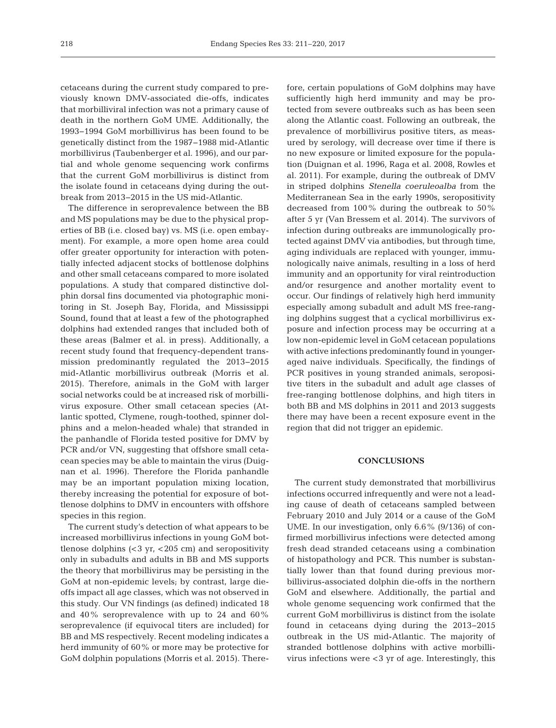cetaceans during the current study compared to previously known DMV-associated die-offs, indicates that morbilliviral infection was not a primary cause of death in the northern GoM UME. Additionally, the 1993−1994 GoM morbillivirus has been found to be genetically distinct from the 1987−1988 mid-Atlantic morbillivirus (Taubenberger et al. 1996), and our partial and whole genome sequencing work confirms that the current GoM morbillivirus is distinct from the isolate found in cetaceans dying during the outbreak from 2013−2015 in the US mid-Atlantic.

The difference in seroprevalence between the BB and MS populations may be due to the physical properties of BB (i.e. closed bay) vs. MS (i.e. open embayment). For example, a more open home area could offer greater opportunity for interaction with potentially infected adjacent stocks of bottlenose dolphins and other small cetaceans compared to more isolated populations. A study that compared distinctive dolphin dorsal fins documented via photographic monitoring in St. Joseph Bay, Florida, and Mississippi Sound, found that at least a few of the photographed dolphins had extended ranges that included both of these areas (Balmer et al. in press). Additionally, a recent study found that frequency-dependent transmission predominantly regulated the 2013−2015 mid-Atlantic morbillivirus outbreak (Morris et al. 2015). Therefore, animals in the GoM with larger social networks could be at increased risk of morbillivirus exposure. Other small cetacean species (Atlantic spotted, Clymene, rough-toothed, spinner dolphins and a melon-headed whale) that stranded in the panhandle of Florida tested positive for DMV by PCR and/or VN, suggesting that offshore small cetacean species may be able to maintain the virus (Duignan et al. 1996). Therefore the Florida panhandle may be an important population mixing location, thereby increasing the potential for exposure of bottlenose dolphins to DMV in encounters with offshore species in this region.

The current study's detection of what appears to be increased morbillivirus infections in young GoM bottlenose dolphins  $( $3 \, yr, \, < 205 \, cm$ )$  and seropositivity only in subadults and adults in BB and MS supports the theory that morbillivirus may be persisting in the GoM at non-epidemic levels; by contrast, large dieoffs impact all age classes, which was not observed in this study. Our VN findings (as defined) indicated 18 and 40% seroprevalence with up to 24 and 60% seroprevalence (if equivocal titers are included) for BB and MS respectively. Recent modeling indicates a herd immunity of 60% or more may be protective for GoM dolphin populations (Morris et al. 2015). Therefore, certain populations of GoM dolphins may have sufficiently high herd immunity and may be protected from severe outbreaks such as has been seen along the Atlantic coast. Following an outbreak, the prevalence of morbillivirus positive titers, as measured by serology, will decrease over time if there is no new exposure or limited exposure for the population (Duignan et al. 1996, Raga et al. 2008, Rowles et al. 2011). For example, during the outbreak of DMV in striped dolphins *Stenella coeruleoalba* from the Mediterranean Sea in the early 1990s, seropositivity decreased from 100% during the outbreak to 50% after 5 yr (Van Bressem et al. 2014). The survivors of infection during outbreaks are immunologically protected against DMV via antibodies, but through time, aging individuals are replaced with younger, immunologically naive animals, resulting in a loss of herd immunity and an opportunity for viral reintroduction and/or resurgence and another mortality event to occur. Our findings of relatively high herd immunity especially among subadult and adult MS free-ranging dolphins suggest that a cyclical morbillivirus exposure and infection process may be occurring at a low non-epidemic level in GoM cetacean populations with active infections predominantly found in youngeraged naive individuals. Specifically, the findings of PCR positives in young stranded animals, seropositive titers in the subadult and adult age classes of free-ranging bottlenose dolphins, and high titers in both BB and MS dolphins in 2011 and 2013 suggests there may have been a recent exposure event in the region that did not trigger an epidemic.

## **CONCLUSIONS**

The current study demonstrated that morbillivirus infections occurred infrequently and were not a leading cause of death of cetaceans sampled between February 2010 and July 2014 or a cause of the GoM UME. In our investigation, only 6.6% (9/136) of confirmed morbillivirus infections were detected among fresh dead stranded cetaceans using a combination of histopathology and PCR. This number is substantially lower than that found during previous morbillivirus-associated dolphin die-offs in the northern GoM and elsewhere. Additionally, the partial and whole genome sequencing work confirmed that the current GoM morbillivirus is distinct from the isolate found in cetaceans dying during the 2013−2015 outbreak in the US mid-Atlantic. The majority of stranded bottlenose dolphins with active morbillivirus infections were <3 yr of age. Interestingly, this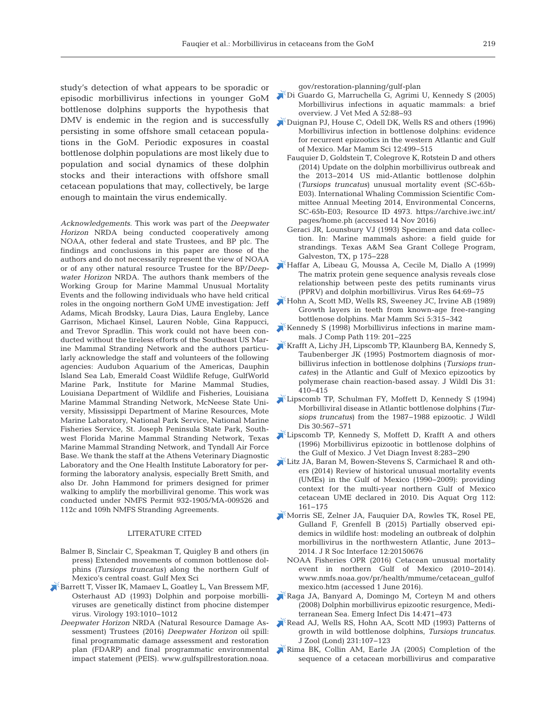study's detection of what appears to be sporadic or episodic morbillivirus infections in younger GoM bottlenose dolphins supports the hypothesis that DMV is endemic in the region and is successfully persisting in some offshore small cetacean populations in the GoM. Periodic exposures in coastal bottlenose dolphin populations are most likely due to population and social dynamics of these dolphin stocks and their interactions with offshore small cetacean populations that may, collectively, be large enough to maintain the virus endemically.

*Acknowledgements*. This work was part of the *Deepwater Horizon* NRDA being conducted cooperatively among NOAA, other federal and state Trustees, and BP plc. The findings and conclusions in this paper are those of the authors and do not necessarily represent the view of NOAA or of any other natural resource Trustee for the BP/*Deep water Horizon* NRDA. The authors thank members of the Working Group for Marine Mammal Unusual Mortality Events and the following individuals who have held critical roles in the ongoing northern GoM UME investigation: Jeff Adams, Micah Brodsky, Laura Dias, Laura Engleby, Lance Garrison, Michael Kinsel, Lauren Noble, Gina Rappucci, and Trevor Spradlin. This work could not have been conducted without the tireless efforts of the Southeast US Marine Mammal Stranding Network and the authors particularly acknowledge the staff and volunteers of the following agencies: Audubon Aquarium of the Americas, Dauphin Island Sea Lab, Emerald Coast Wildlife Refuge, GulfWorld Marine Park, Institute for Marine Mammal Studies, Louisiana Department of Wildlife and Fisheries, Louisiana Marine Mammal Stranding Network, McNeese State University, Mississippi Department of Marine Resources, Mote Marine Laboratory, National Park Service, National Marine Fisheries Service, St. Joseph Peninsula State Park, Southwest Florida Marine Mammal Stranding Network, Texas Marine Mammal Stranding Network, and Tyndall Air Force Base. We thank the staff at the Athens Veterinary Diagnostic Laboratory and the One Health Institute Laboratory for performing the laboratory analysis, especially Brett Smith, and also Dr. John Hammond for primers designed for primer walking to amplify the morbilliviral genome. This work was conducted under NMFS Permit 932-1905/MA-009526 and 112c and 109h NMFS Stranding Agreements.

## LITERATURE CITED

- Balmer B, Sinclair C, Speakman T, Quigley B and others (in press) Extended movements of common bottlenose dolphins *(Tursiops truncatus)* along the northern Gulf of Mexico's central coast. Gulf Mex Sci
- [Barrett T, Visser IK, Mamaev L, Goatley L, Van Bressem MF,](https://doi.org/10.1006/viro.1993.1217) Osterhaust AD (1993) Dolphin and porpoise morbilliviruses are genetically distinct from phocine distemper virus. Virology 193: 1010−1012
	- *Deepwater Horizon* NRDA (Natural Resource Damage As sessment) Trustees (2016) *Deepwater Horizon* oil spill: final programmatic damage assessment and restoration plan (FDARP) and final programmatic environmental impact statement (PEIS). www.gulfspillrestoration. noaa.

gov/restoration-planning/gulf-plan

- [Di Guardo G, Marruchella G, Agrimi U, Kennedy S \(2005\)](https://doi.org/10.1111/j.1439-0442.2005.00693.x) Morbillivirus infections in aquatic mammals: a brief overview. J Vet Med A 52:88-93
- [Duignan PJ, House C, Odell DK, Wells RS and others \(1996\)](https://doi.org/10.1111/j.1748-7692.1996.tb00063.x) Morbillivirus infection in bottlenose dolphins: evidence for recurrent epizootics in the western Atlantic and Gulf of Mexico. Mar Mamm Sci 12: 499−515
	- Fauquier D, Goldstein T, Colegrove K, Rotstein D and others (2014) Update on the dolphin morbillivirus outbreak and the 2013−2014 US mid-Atlantic bottlenose dolphin (*Tursiops truncatus*) unusual mortality event (SC-65b-E03). International Whaling Commission Scientific Committee Annual Meeting 2014, Environmental Concerns, SC-65b-E03; Resource ID 4973. https://archive.iwc.int/ pages/home.ph (accessed 14 Nov 2016)
	- Geraci JR, Lounsbury VJ (1993) Specimen and data collection. In: Marine mammals ashore: a field guide for strandings. Texas A&M Sea Grant College Program, Galveston, TX, p 175−228
- [Haffar A, Libeau G, Moussa A, Cecile M, Diallo A \(1999\)](https://doi.org/10.1016/S0168-1702(99)00080-5) The matrix protein gene sequence analysis reveals close relationship between peste des petits ruminants virus (PPRV) and dolphin morbillivirus. Virus Res 64:69-75
- [Hohn A, Scott MD, Wells RS, Sweeney JC, Irvine AB \(1989\)](https://doi.org/10.1111/j.1748-7692.1989.tb00346.x) Growth layers in teeth from known-age free-ranging bottlenose dolphins. Mar Mamm Sci 5: 315−342
- [Kennedy S \(1998\) Morbillivirus infections in marine mam](https://doi.org/10.1016/S0021-9975(98)80045-5)mals. J Comp Path 119:201−225
- [Krafft A, Lichy JH, Lipscomb TP, Klaunberg BA, Kennedy S,](https://doi.org/10.7589/0090-3558-31.3.410) Taubenberger JK (1995) Postmortem diagnosis of morbillivirus infection in bottlenose dolphins (*Tursiops truncates*) in the Atlantic and Gulf of Mexico epizootics by polymerase chain reaction-based assay. J Wildl Dis 31: 410−415
- [Lipscomb TP, Schulman FY, Moffett D, Kennedy S \(1994\)](https://doi.org/10.7589/0090-3558-30.4.567) Morbilliviral disease in Atlantic bottlenose dolphins (*Tursiops truncatus*) from the 1987−1988 epizootic. J Wildl Dis 30:567-571
- [Lipscomb TP, Kennedy S, Moffett D, Krafft A and others](https://doi.org/10.1177/104063879600800302) (1996) Morbillivirus epizootic in bottlenose dolphins of the Gulf of Mexico. J Vet Diagn Invest 8:283-290
- [Litz JA, Baran M, Bowen-Stevens S, Carmichael R and oth](https://doi.org/10.3354/dao02807)ers (2014) Review of historical unusual mortality events (UMEs) in the Gulf of Mexico (1990–2009): providing context for the multi-year northern Gulf of Mexico cetacean UME declared in 2010. Dis Aquat Org 112: 161−175
- [Morris SE, Zelner JA, Fauquier DA, Rowles TK, Rosel PE,](https://doi.org/10.1098/rsif.2015.0676) Gulland F, Grenfell B (2015) Partially observed epidemics in wildlife host: modeling an outbreak of dolphin morbillivirus in the northwestern Atlantic, June 2013− 2014. J R Soc Interface 12:20150676
	- NOAA Fisheries OPR (2016) Cetacean unusual mortality event in northern Gulf of Mexico (2010−2014). www.nmfs. noaa.gov/pr/health/mmume/cetacean\_gulfof mexico.htm (accessed 1 June 2016).
- [Raga JA, Banyard A, Domingo M, Corteyn M and others](https://doi.org/10.3201/eid1403.071230) (2008) Dolphin morbillivirus epizootic resurgence, Mediterranean Sea. Emerg Infect Dis 14: 471−473
- [Read AJ, Wells RS, Hohn AA, Scott MD \(1993\) Patterns of](https://doi.org/10.1111/j.1469-7998.1993.tb05356.x) growth in wild bottlenose dolphins, *Tursiops truncatus.* J Zool (Lond) 231: 107−123
- [Rima BK, Collin AM, Earle JA \(2005\) Completion of the](https://doi.org/10.1007/s11262-004-4588-7) sequence of a cetacean morbillivirus and comparative